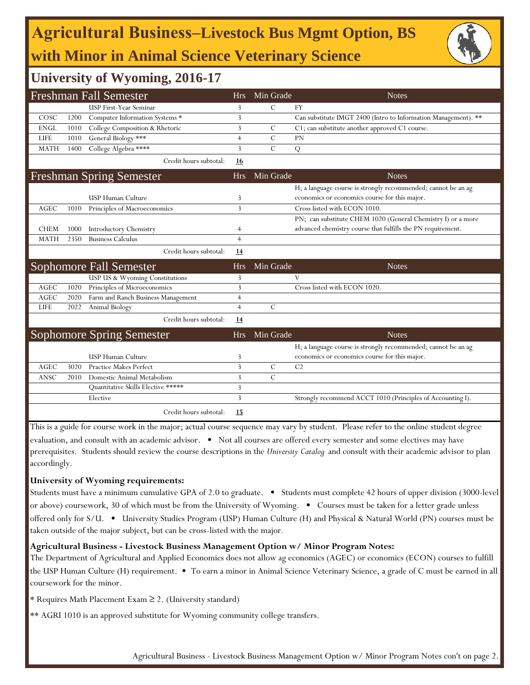# **Agricultural Business‒Livestock Bus Mgmt Option, BS with Minor in Animal Science Veterinary Science**



### **University of Wyoming, 2016-17**

|             |      | <b>Freshman Fall Semester</b>      | <b>Hrs</b>     | Min Grade     | <b>Notes</b>                                                   |
|-------------|------|------------------------------------|----------------|---------------|----------------------------------------------------------------|
|             |      | USP First-Year Seminar             | 3              | $\mathcal{C}$ | <b>FY</b>                                                      |
| COSC        | 1200 | Computer Information Systems *     | 3              |               | Can substitute IMGT 2400 (Intro to Information Management). ** |
| <b>ENGL</b> | 1010 | College Composition & Rhetoric     | 3              | C             | C1; can substitute another approved C1 course.                 |
| <b>LIFE</b> | 1010 | General Biology ***                | $\overline{4}$ | $\mathcal{C}$ | <b>PN</b>                                                      |
| <b>MATH</b> | 1400 | College Algebra ****               | 3              | $\mathcal{C}$ | Q                                                              |
|             |      | Credit hours subtotal:             | 16             |               |                                                                |
|             |      | <b>Freshman Spring Semester</b>    | <b>Hrs</b>     | Min Grade     | <b>Notes</b>                                                   |
|             |      |                                    |                |               | H; a language course is strongly recommended; cannot be an ag  |
|             |      | USP Human Culture                  | 3              |               | economics or economics course for this major.                  |
| <b>AGEC</b> | 1010 | Principles of Macroeconomics       | 3              |               | Cross listed with ECON 1010.                                   |
|             |      |                                    |                |               | PN; can substitute CHEM 1020 (General Chemistry I) or a more   |
| <b>CHEM</b> | 1000 | <b>Introductory Chemistry</b>      | 4              |               | advanced chemistry course that fulfills the PN requirement.    |
| <b>MATH</b> | 2350 | <b>Business Calculus</b>           | $\overline{4}$ |               |                                                                |
|             |      | Credit hours subtotal:             | 14             |               |                                                                |
|             |      | Sophomore Fall Semester            | <b>Hrs</b>     | Min Grade     | <b>Notes</b>                                                   |
|             |      | USP US & Wyoming Constitutions     | 3              |               | V                                                              |
| <b>AGEC</b> | 1020 | Principles of Microeconomics       | 3              |               | Cross listed with ECON 1020.                                   |
| <b>AGEC</b> | 2020 | Farm and Ranch Business Management | $\overline{4}$ |               |                                                                |
| <b>LIFE</b> | 2022 | Animal Biology                     | $\overline{4}$ | $\mathcal{C}$ |                                                                |
|             |      | Credit hours subtotal:             | 14             |               |                                                                |
|             |      | <b>Sophomore Spring Semester</b>   | <b>Hrs</b>     | Min Grade     | <b>Notes</b>                                                   |
|             |      |                                    |                |               | H; a language course is strongly recommended; cannot be an ag  |
|             |      | <b>USP Human Culture</b>           | 3              |               | economics or economics course for this major.                  |
| <b>AGEC</b> | 3020 | <b>Practice Makes Perfect</b>      | 3              | $\mathcal{C}$ | C <sub>2</sub>                                                 |
| <b>ANSC</b> | 2010 | Domestic Animal Metabolism         | 3              | $\mathcal{C}$ |                                                                |
|             |      | Quantitative Skills Elective ***** | 3              |               |                                                                |
|             |      | Elective                           | 3              |               | Strongly recommend ACCT 1010 (Principles of Accounting I).     |
|             |      | Credit hours subtotal:             | 15             |               |                                                                |

This is a guide for course work in the major; actual course sequence may vary by student. Please refer to the online student degree evaluation, and consult with an academic advisor. • Not all courses are offered every semester and some electives may have prerequisites. Students should review the course descriptions in the *University Catalog* and consult with their academic advisor to plan accordingly.

#### **University of Wyoming requirements:**

Students must have a minimum cumulative GPA of 2.0 to graduate. • Students must complete 42 hours of upper division (3000-level or above) coursework, 30 of which must be from the University of Wyoming. • Courses must be taken for a letter grade unless offered only for S/U. • University Studies Program (USP) Human Culture (H) and Physical & Natural World (PN) courses must be taken outside of the major subject, but can be cross-listed with the major.

#### **Agricultural Business - Livestock Business Management Option w/ Minor Program Notes:**

The Department of Agricultural and Applied Economics does not allow ag economics (AGEC) or economics (ECON) courses to fulfill the USP Human Culture (H) requirement. • To earn a minor in Animal Science Veterinary Science, a grade of C must be earned in all coursework for the minor.

\* Requires Math Placement Exam ≥ 2. (University standard)

\*\* AGRI 1010 is an approved substitute for Wyoming community college transfers.

Agricultural Business - Livestock Business Management Option w/ Minor Program Notes con't on page 2.